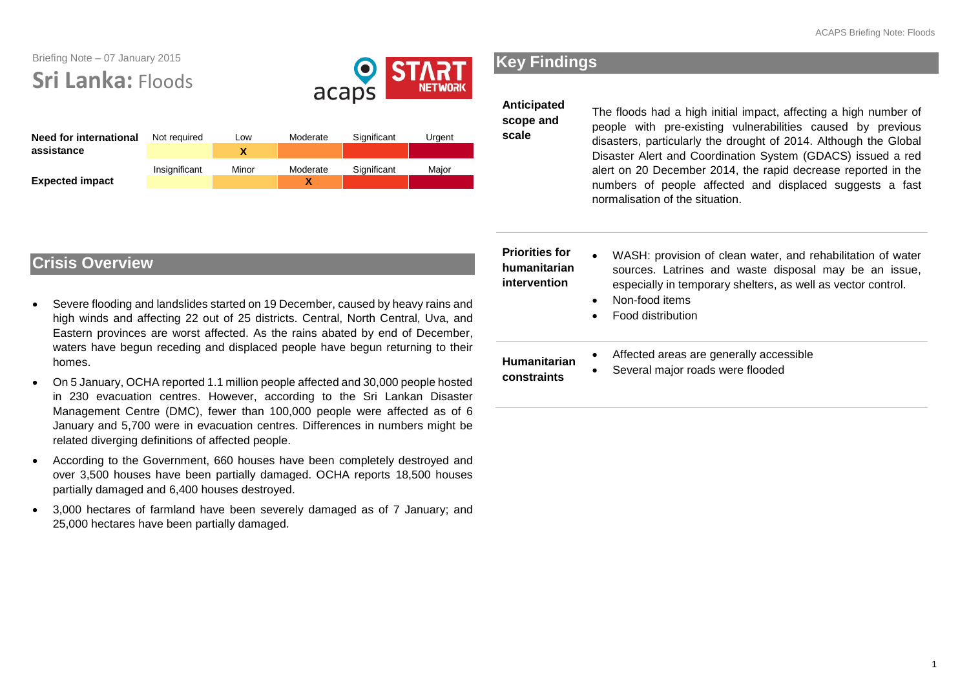# Briefing Note – 07 January 2015 **Sri Lanka:** Floods



| <b>Need for international</b><br>assistance | Not reauired  | Low   | Moderate      | Significant | Urgent |
|---------------------------------------------|---------------|-------|---------------|-------------|--------|
| <b>Expected impact</b>                      | Insignificant | Minor | Moderate<br>χ | Significant | Maior  |

# **Key Findings**

### **Anticipated**

**scope and scale** 

The floods had a high initial impact, affecting a high number of people with pre-existing vulnerabilities caused by previous disasters, particularly the drought of 2014. Although the Global Disaster Alert and Coordination System (GDACS) issued a red alert on 20 December 2014, the rapid decrease reported in the numbers of people affected and displaced suggests a fast normalisation of the situation.

| aused by heavy rains and<br>North Central, Uva, and<br>ed by end of December,<br>begun returning to their<br>and 30,000 people hosted<br>an Cri Lankon Dinastor | <b>Priorities for</b><br>humanitarian<br><i>intervention</i> | $\bullet$ | WASH: provision of clean water, and rehabilitation of water<br>sources. Latrines and waste disposal may be an issue,<br>especially in temporary shelters, as well as vector control.<br>Non-food items<br>Food distribution |
|-----------------------------------------------------------------------------------------------------------------------------------------------------------------|--------------------------------------------------------------|-----------|-----------------------------------------------------------------------------------------------------------------------------------------------------------------------------------------------------------------------------|
|                                                                                                                                                                 | <b>Humanitarian</b><br>constraints                           |           | Affected areas are generally accessible<br>Several major roads were flooded                                                                                                                                                 |

# **Crisis Overview**

- Severe flooding and landslides started on 19 December, ca high winds and affecting 22 out of 25 districts. Central, Eastern provinces are worst affected. As the rains abate waters have begun receding and displaced people have homes.
- On 5 January, OCHA reported 1.1 million people affected a in 230 evacuation centres. However, according to the Sri Lankan Disaster Management Centre (DMC), fewer than 100,000 people were affected as of 6 January and 5,700 were in evacuation centres. Differences in numbers might be related diverging definitions of affected people.
- According to the Government, 660 houses have been completely destroyed and over 3,500 houses have been partially damaged. OCHA reports 18,500 houses partially damaged and 6,400 houses destroyed.
- 3,000 hectares of farmland have been severely damaged as of 7 January; and 25,000 hectares have been partially damaged.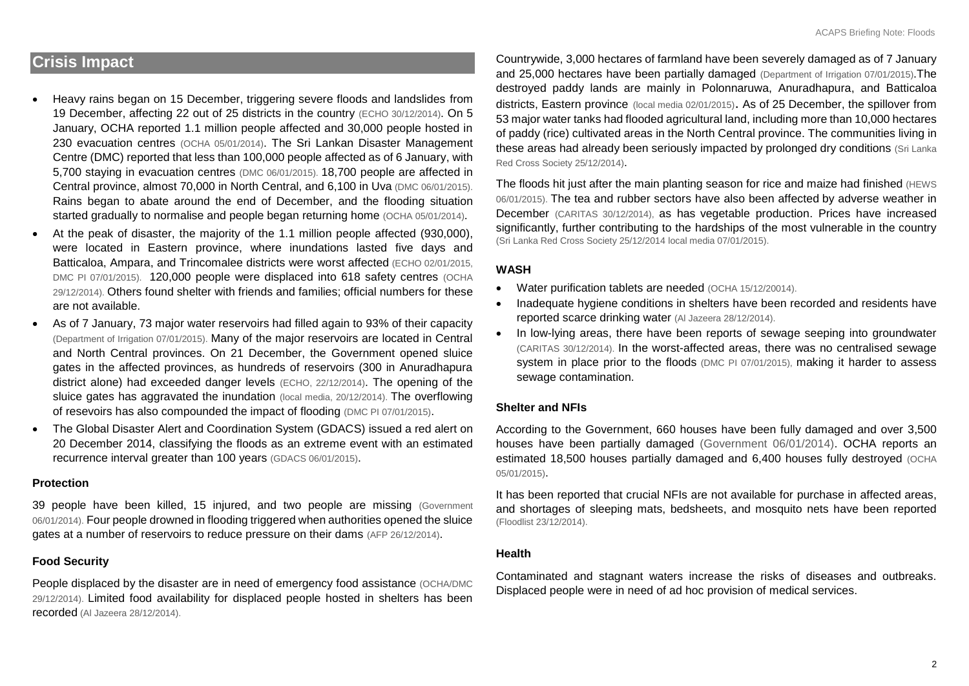## **Crisis Impact**

- Heavy rains began on 15 December, triggering severe floods and landslides from 19 December, affecting 22 out of 25 districts in the country [\(ECHO 30/12/2014\)](http://erccportal.jrc.ec.europa.eu/ECHO-Flash/ECHO-Flash-List/yy/2014/mm/12). On 5 January, OCHA reported 1.1 million people affected and 30,000 people hosted in 230 evacuation centres [\(OCHA 05/01/2014\)](http://reliefweb.int/sites/reliefweb.int/files/resources/ROAP_Snapshot_150105.pdf). The Sri Lankan Disaster Management Centre (DMC) reported that less than 100,000 people affected as of 6 January, with 5,700 staying in evacuation centres [\(DMC 06/01/2015\)](https://www.dropbox.com/s/vv8noz149o6m1y5/Current-Sitiation.pdf). 18,700 people are affected in Central province, almost 70,000 in North Central, and 6,100 in Uva [\(DMC 06/01/2015\).](https://www.dropbox.com/s/vv8noz149o6m1y5/Current-Sitiation.pdf) Rains began to abate around the end of December, and the flooding situation started gradually to normalise and people began returning home [\(OCHA 05/01/2014\)](http://reliefweb.int/sites/reliefweb.int/files/resources/ROAP_Snapshot_150105.pdf).
- At the peak of disaster, the majority of the 1.1 million people affected (930,000), were located in Eastern province, where inundations lasted five days and Batticaloa, Ampara, and Trincomalee districts were worst affected [\(ECHO 02/01/2015,](http://reliefweb.int/sites/reliefweb.int/files/resources/ECDM_20150102_Asia_SevereWeather.pdf) DMC PI 07/01/2015). 120,000 people were displaced into 618 safety centres [\(OCHA](http://reliefweb.int/report/sri-lanka/asia-and-pacific-weekly-regional-humanitarian-snapshot-23-29-december-2014)  [29/12/2014\)](http://reliefweb.int/report/sri-lanka/asia-and-pacific-weekly-regional-humanitarian-snapshot-23-29-december-2014). Others found shelter with friends and families; official numbers for these are not available.
- As of 7 January, 73 major water reservoirs had filled again to 93% of their capacity [\(Department of Irrigation 07/01/2015\)](https://www.youtube.com/watch?v=hoea6Agi6LM). Many of the major reservoirs are located in Central and North Central provinces. On 21 December, the Government opened sluice gates in the affected provinces, as hundreds of reservoirs (300 in Anuradhapura district alone) had exceeded danger levels [\(ECHO, 22/12/2014\)](http://reliefweb.int/report/sri-lanka/sri-lanka-severe-weather-echo-daily-flash-22-december-2014). The opening of the sluice gates has aggravated the inundation [\(local media, 20/12/2014\)](http://www.tamilnet.com/art.html?catid=13&artid=37548). The overflowing of resevoirs has also compounded the impact of flooding (DMC PI 07/01/2015).
- The Global Disaster Alert and Coordination System (GDACS) issued a red alert on 20 December 2014, classifying the floods as an extreme event with an estimated recurrence interval greater than 100 years [\(GDACS 06/01/2015\)](http://www.gdacs.org/Floods/report.aspx?eventid=4215&episodeid=3&eventtype=FL).

#### **Protection**

39 people have been killed, 15 injured, and two people are missing [\(Government](https://www.dropbox.com/s/vv8noz149o6m1y5/Current-Sitiation.pdf)  [06/01/2014\).](https://www.dropbox.com/s/vv8noz149o6m1y5/Current-Sitiation.pdf) Four people drowned in flooding triggered when authorities opened the sluice gates at a number of reservoirs to reduce pressure on their dams [\(AFP 26/12/2014\)](http://reliefweb.int/report/sri-lanka/sri-lanka-floods-mudslides-kill-14).

### **Food Security**

People displaced by the disaster are in need of emergency food assistance (OCHA/DMC) [29/12/2014\)](http://reliefweb.int/sites/reliefweb.int/files/resources/ROAP_sitmap_141229.pdf). Limited food availability for displaced people hosted in shelters has been recorded [\(Al Jazeera 28/12/2014\)](http://www.aljazeera.com/news/asia-pacific/2014/12/more-rain-forecast-flood-hit-se-asia-201412286107902449.html).

Countrywide, 3,000 hectares of farmland have been severely damaged as of 7 January and 25,000 hectares have been partially damaged [\(Department of Irrigation 07/01/2015\)](https://www.youtube.com/watch?v=hoea6Agi6LM).The destroyed paddy lands are mainly in Polonnaruwa, Anuradhapura, and Batticaloa districts, Eastern province [\(local media 02/01/2015\)](http://www.colombopage.com/archive_15A/Jan02_1420139566CH.php). As of 25 December, the spillover from 53 major water tanks had flooded agricultural land, including more than 10,000 hectares of paddy (rice) cultivated areas in the North Central province. The communities living in these areas had already been seriously impacted by prolonged dry conditions [\(Sri Lanka](http://www.redcross.lk/news/over-675000-affected-in-inclement-weather-in-sri-lanka/)  [Red Cross Society 25/12/2014\)](http://www.redcross.lk/news/over-675000-affected-in-inclement-weather-in-sri-lanka/).

The floods hit just after the main planting season for rice and maize had finished (HEWS) [06/01/2015\)](http://www.hewsweb.org/countries/default.asp?c=144). The tea and rubber sectors have also been affected by adverse weather in December (CARITAS 30/12/2014), as has vegetable production. Prices have increased significantly, further contributing to the hardships of the most vulnerable in the country [\(Sri Lanka Red Cross Society 25/12/2014](http://www.redcross.lk/news/over-675000-affected-in-inclement-weather-in-sri-lanka/) [local media 07/01/2015\)](http://newsfirst.lk/english/2015/01/vegetable-prices-time-high-due-inclement-weather-conditions/71034).

### **WASH**

- Water purification tablets are needed [\(OCHA 15/12/20014\)](http://reliefweb.int/sites/reliefweb.int/files/resources/ROAP_sitmap_141215.pdf).
- Inadequate hygiene conditions in shelters have been recorded and residents have reported scarce drinking water [\(Al Jazeera 28/12/2014\)](http://www.aljazeera.com/news/asia-pacific/2014/12/more-rain-forecast-flood-hit-se-asia-201412286107902449.html).
- In low-lying areas, there have been reports of sewage seeping into groundwater (CARITAS 30/12/2014). In the worst-affected areas, there was no centralised sewage system in place prior to the floods (DMC PI 07/01/2015), making it harder to assess sewage contamination.

### **Shelter and NFIs**

According to the Government, 660 houses have been fully damaged and over 3,500 houses have been partially damaged [\(Government 06/01/2014\).](https://www.dropbox.com/s/vv8noz149o6m1y5/Current-Sitiation.pdf) OCHA reports an estimated 18,500 houses partially damaged and 6,400 houses fully destroyed [\(OCHA](http://reliefweb.int/sites/reliefweb.int/files/resources/ROAP_Snapshot_150105.pdf)  [05/01/2015\)](http://reliefweb.int/sites/reliefweb.int/files/resources/ROAP_Snapshot_150105.pdf).

It has been reported that crucial NFIs are not available for purchase in affected areas, and shortages of sleeping mats, bedsheets, and mosquito nets have been reported [\(Floodlist 23/12/2014\)](http://floodlist.com/asia/sri-lanka-floods-three-deaths-evacuations-continue).

### **Health**

Contaminated and stagnant waters increase the risks of diseases and outbreaks. Displaced people were in need of ad hoc provision of medical services.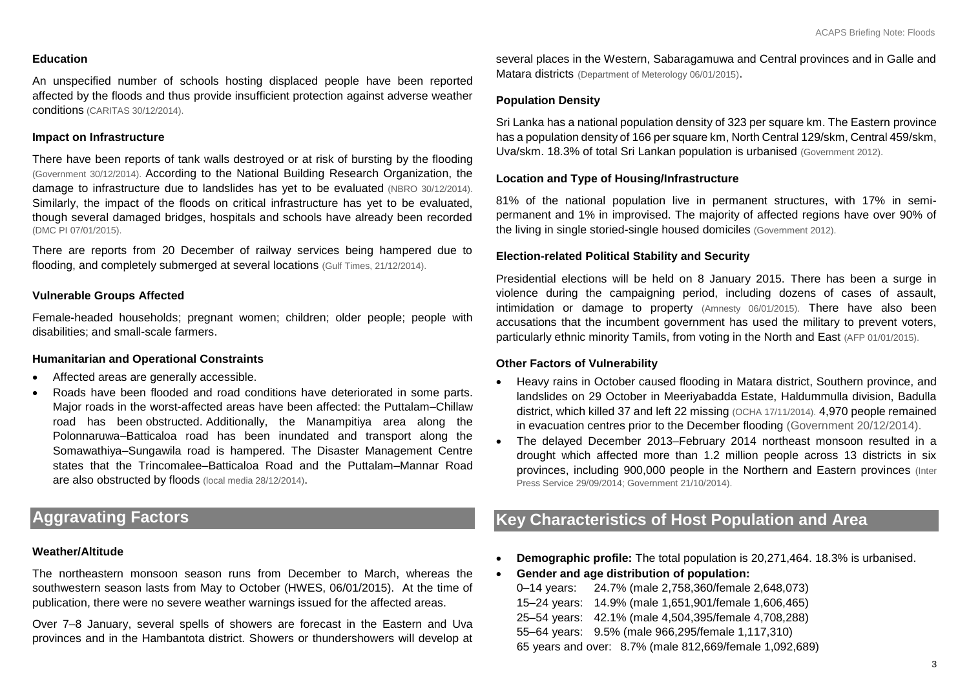### **Education**

An unspecified number of schools hosting displaced people have been reported affected by the floods and thus provide insufficient protection against adverse weather conditions (CARITAS 30/12/2014).

### **Impact on Infrastructure**

There have been reports of tank walls destroyed or at risk of bursting by the flooding [\(Government 30/12/2014\)](http://reliefweb.int/report/sri-lanka/army-troops-continue-take-care-flood-victims). According to the National Building Research Organization, the damage to infrastructure due to landslides has yet to be evaluated [\(NBRO 30/12/2014\)](http://www.nbro.gov.lk/web/index.php?option=com_content&view=article&id=291%3Aheavy-rain-triggers-several-landslides-in-the-hill-country&catid=44%3Anews-a-events&Itemid=204&lang=en). Similarly, the impact of the floods on critical infrastructure has yet to be evaluated, though several damaged bridges, hospitals and schools have already been recorded (DMC PI 07/01/2015).

There are reports from 20 December of railway services being hampered due to flooding, and completely submerged at several locations [\(Gulf Times, 21/12/2014\).](http://www.gulf-times.com/sri%20lanka/251/details/420637/thousands-displaced-in-lanka-floods)

### **Vulnerable Groups Affected**

Female-headed households; pregnant women; children; older people; people with disabilities; and small-scale farmers.

### **Humanitarian and Operational Constraints**

- Affected areas are generally accessible.
- Roads have been flooded and road conditions have deteriorated in some parts. Major roads in the worst-affected areas have been affected: the Puttalam–Chillaw road has been obstructed. Additionally, the Manampitiya area along the Polonnaruwa–Batticaloa road has been inundated and transport along the Somawathiya–Sungawila road is hampered. The Disaster Management Centre states that the Trincomalee–Batticaloa Road and the Puttalam–Mannar Road are also obstructed by floods [\(local media 28/12/2014\)](http://newsfirst.lk/english/2014/12/floods-hamper-travel-several-roads/69629).

# **Aggravating Factors**

#### **Weather/Altitude**

The northeastern monsoon season runs from December to March, whereas the southwestern season lasts from May to October (HWES, 06/01/2015). At the time of publication, there were no severe weather warnings issued for the affected areas.

Over 7–8 January, several spells of showers are forecast in the Eastern and Uva provinces and in the Hambantota district. Showers or thundershowers will develop at several places in the Western, Sabaragamuwa and Central provinces and in Galle and Matara districts [\(Department of Meterology 06/01/2015\)](http://www.meteo.gov.lk/index.php?option=com_content&view=article&id=66%3Acity-forecasts&catid=38%3Amain-city&Itemid=75&lang=en).

### **Population Density**

Sri Lanka has a national population density of 323 per square km. The Eastern province has a population density of 166 per square km, North Central 129/skm, Central 459/skm, Uva/skm. 18.3% of total Sri Lankan population is urbanised [\(Government 2012\)](http://www.statistics.gov.lk/PopHouSat/CPH2011/Pages/Activities/Reports/CPH_2012_5Per_Rpt.pdf).

### **Location and Type of Housing/Infrastructure**

81% of the national population live in permanent structures, with 17% in semipermanent and 1% in improvised. The majority of affected regions have over 90% of the living in single storied-single housed domiciles [\(Government 2012\).](http://www.statistics.gov.lk/PopHouSat/CPH2011/Pages/Activities/Reports/CPH_2012_5Per_Rpt.pdf)

### **Election-related Political Stability and Security**

Presidential elections will be held on 8 January 2015. There has been a surge in violence during the campaigning period, including dozens of cases of assault, intimidation or damage to property [\(Amnesty 06/01/2015\).](http://reliefweb.int/report/sri-lanka/sri-lanka-human-rights-risk-violence-surges-ahead-presidential-election) There have also been accusations that the incumbent government has used the military to prevent voters, particularly ethnic minority Tamils, from voting in the North and East [\(AFP 01/01/2015\).](http://reliefweb.int/report/sri-lanka/sri-lanka-opposition-says-army-scaring-tamil-voters)

### **Other Factors of Vulnerability**

- Heavy rains in October caused flooding in Matara district, Southern province, and landslides on 29 October in Meeriyabadda Estate, Haldummulla division, Badulla district, which killed 37 and left 22 missing [\(OCHA 17/11/2014\).](http://reliefweb.int/report/indonesia/asia-pacific-region-weekly-regional-humanitarian-snapshot-11-17-november-2014) 4,970 people remained in evacuation centres prior to the December flooding [\(Government 20/12/2014\).](http://www.dmc.gov.lk/situation%20report/reports-pdf/2014/December/Three%20Language%20sit%20rep%202014.12.20%20at%201800%20hrs.pdf)
- The delayed December 2013–February 2014 northeast monsoon resulted in a drought which affected more than 1.2 million people across 13 districts in six provinces, including 900,000 people in the Northern and Eastern provinces [\(Inter](http://reliefweb.int/report/sri-lanka/blistering-drought-leaves-poorest-high-and-dry)  [Press Service 29/09/2014;](http://reliefweb.int/report/sri-lanka/blistering-drought-leaves-poorest-high-and-dry) [Government 21/10/2014\)](http://reliefweb.int/report/sri-lanka/daily-situation-report-sri-lanka-21-october-2014-1800-hrs).

# **Key Characteristics of Host Population and Area**

- **Demographic profile:** The total population is 20,271,464. 18.3% is urbanised.
- **Gender and age distribution of population:**

0–14 years: 24.7% (male 2,758,360/female 2,648,073) 15–24 years: 14.9% (male 1,651,901/female 1,606,465) 25–54 years: 42.1% (male 4,504,395/female 4,708,288) 55–64 years: 9.5% (male 966,295/female 1,117,310) 65 years and over: 8.7% (male 812,669/female 1,092,689)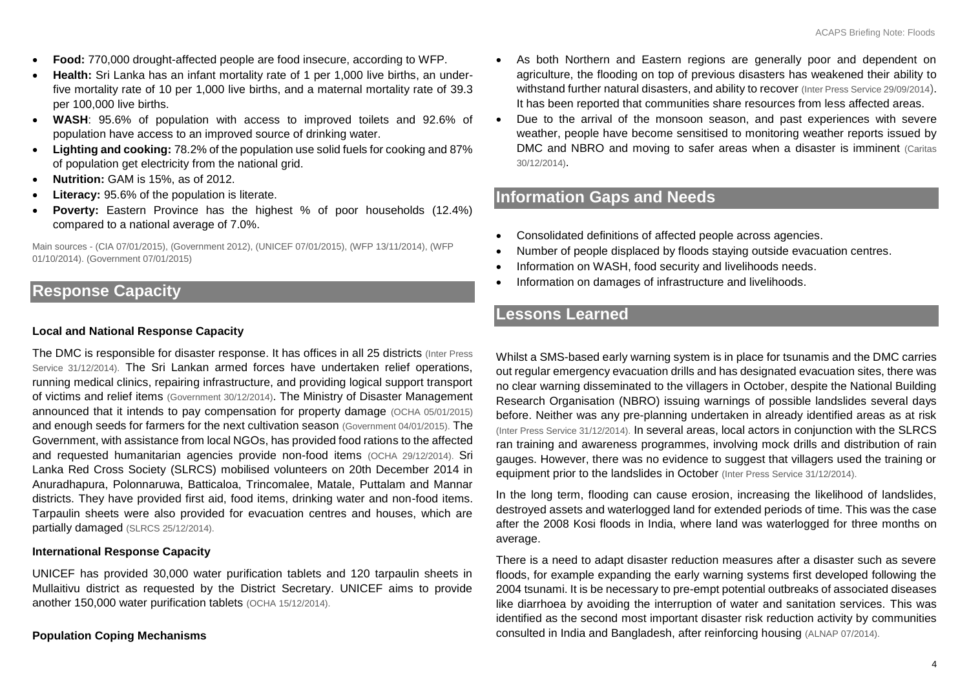- **Food:** 770,000 drought-affected people are food insecure, according to WFP.
- **Health:** Sri Lanka has an infant mortality rate of 1 per 1,000 live births, an underfive mortality rate of 10 per 1,000 live births, and a maternal mortality rate of 39.3 per 100,000 live births.
- **WASH**: 95.6% of population with access to improved toilets and 92.6% of population have access to an improved source of drinking water.
- **Lighting and cooking:** 78.2% of the population use solid fuels for cooking and 87% of population get electricity from the national grid.
- **Nutrition:** GAM is 15%, as of 2012.
- **Literacy:** 95.6% of the population is literate.
- **Poverty:** Eastern Province has the highest % of poor households (12.4%) compared to a national average of 7.0%.

Main sources - [\(CIA 07/01/2015\),](https://www.cia.gov/library/publications/the-world-factbook/geos/ce.html) [\(Government 2012\),](http://www.statistics.gov.lk/PopHouSat/CPH2011/Pages/Activities/Reports/CPH_2012_5Per_Rpt.pd) [\(UNICEF 07/01/2015\),](http://www.unicef.org/infobycountry/sri_lanka_statistics.html) [\(WFP 13/11/2014\),](http://reliefweb.int/report/sri-lanka/cerf-grant-provides-assistance-communities-affected-drought-sri-lanka) [\(WFP](http://reliefweb.int/report/sri-lanka/wfp-assists-communities-affected-drought-sri-lanka)  [01/10/2014\).](http://reliefweb.int/report/sri-lanka/wfp-assists-communities-affected-drought-sri-lanka) [\(Government 07/01/2015\)](http://www.cbsl.gov.lk/pics_n_docs/10_pub/_docs/statistics/other/econ_&_ss_2013_e.pdf)

### **Response Capacity**

### **Local and National Response Capacity**

The DMC is responsible for disaster response. It has offices in all 25 districts [\(Inter Press](http://reliefweb.int/report/sri-lanka/sri-lanka-still-search-comprehensive-disaster-management-plan)  [Service 31/12/2014\).](http://reliefweb.int/report/sri-lanka/sri-lanka-still-search-comprehensive-disaster-management-plan) The Sri Lankan armed forces have undertaken relief operations, running medical clinics, repairing infrastructure, and providing logical support transport of victims and relief items [\(Government 30/12/2014\)](http://reliefweb.int/report/sri-lanka/army-troops-continue-take-care-flood-victims). The Ministry of Disaster Management announced that it intends to pay compensation for property damage [\(OCHA 05/01/2015\)](http://reliefweb.int/sites/reliefweb.int/files/resources/ROAP_Snapshot_150105.pdf) and enough seeds for farmers for the next cultivation season [\(Government 04/01/2015\).](http://reliefweb.int/report/sri-lanka/govt-protect-farmers-affected-inclement-weather) The Government, with assistance from local NGOs, has provided food rations to the affected and requested humanitarian agencies provide non-food items [\(OCHA 29/12/2014\).](http://reliefweb.int/sites/reliefweb.int/files/resources/ROAP_sitmap_141229.pd) Sri Lanka Red Cross Society (SLRCS) mobilised volunteers on 20th December 2014 in Anuradhapura, Polonnaruwa, Batticaloa, Trincomalee, Matale, Puttalam and Mannar districts. They have provided first aid, food items, drinking water and non-food items. Tarpaulin sheets were also provided for evacuation centres and houses, which are partially damaged [\(SLRCS 25/12/2014\).](http://reliefweb.int/report/sri-lanka/over-675000-affected-due-inclement-weather-sri-lanka)

#### **International Response Capacity**

UNICEF has provided 30,000 water purification tablets and 120 tarpaulin sheets in Mullaitivu district as requested by the District Secretary. UNICEF aims to provide another 150,000 water purification tablets [\(OCHA 15/12/2014\).](http://reliefweb.int/sites/reliefweb.int/files/resources/ROAP_sitmap_141215.pd)

#### **Population Coping Mechanisms**

- As both Northern and Eastern regions are generally poor and dependent on agriculture, the flooding on top of previous disasters has weakened their ability to withstand further natural disasters, and ability to recover [\(Inter Press Service 29/09/2014](http://reliefweb.int/report/sri-lanka/blistering-drought-leaves-poorest-high-and-dry)). It has been reported that communities share resources from less affected areas.
- Due to the arrival of the monsoon season, and past experiences with severe weather, people have become sensitised to monitoring weather reports issued by DMC and NBRO and moving to safer areas when a disaster is imminent (Caritas 30/12/2014).

## **Information Gaps and Needs**

- Consolidated definitions of affected people across agencies.
- Number of people displaced by floods staying outside evacuation centres.
- Information on WASH, food security and livelihoods needs.
- Information on damages of infrastructure and livelihoods.

### **Lessons Learned**

Whilst a SMS-based early warning system is in place for tsunamis and the DMC carries out regular emergency evacuation drills and has designated evacuation sites, there was no clear warning disseminated to the villagers in October, despite the National Building Research Organisation (NBRO) issuing warnings of possible landslides several days before. Neither was any pre-planning undertaken in already identified areas as at risk [\(Inter Press Service 31/12/2014\).](http://reliefweb.int/report/sri-lanka/sri-lanka-still-search-comprehensive-disaster-management-plan) In several areas, local actors in conjunction with the SLRCS ran training and awareness programmes, involving mock drills and distribution of rain gauges. However, there was no evidence to suggest that villagers used the training or equipment prior to the landslides in October [\(Inter Press Service 31/12/2014\).](http://reliefweb.int/report/sri-lanka/sri-lanka-still-search-comprehensive-disaster-management-plan)

In the long term, flooding can cause erosion, increasing the likelihood of landslides, destroyed assets and waterlogged land for extended periods of time. This was the case after the 2008 Kosi floods in India, where land was waterlogged for three months on average.

There is a need to adapt disaster reduction measures after a disaster such as severe floods, for example expanding the early warning systems first developed following the 2004 tsunami. It is be necessary to pre-empt potential outbreaks of associated diseases like diarrhoea by avoiding the interruption of water and sanitation services. This was identified as the second most important disaster risk reduction activity by communities consulted in India and Bangladesh, after reinforcing housing [\(ALNAP 07/2014\).](file:///C:/Users/Ioanna/Downloads/alnap-lessons-flood-cosgrave.pd)